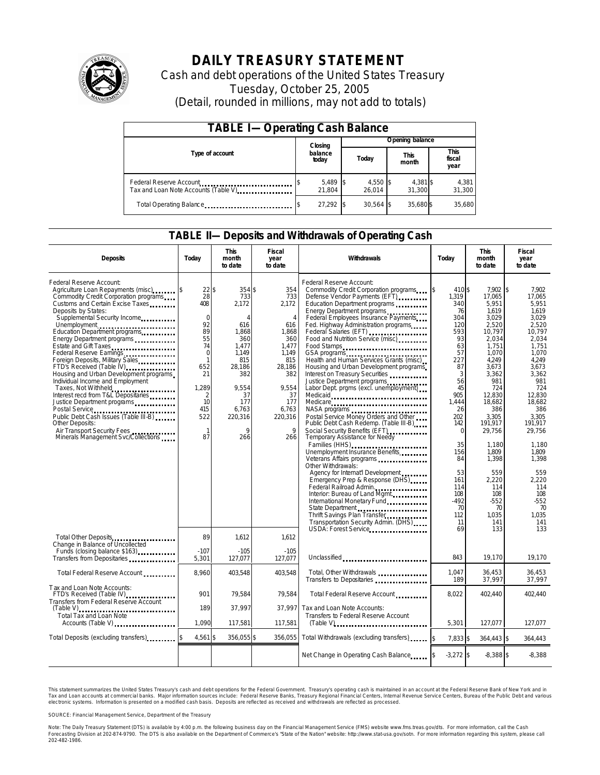

# **DAILY TREASURY STATEMENT**

Cash and debt operations of the United States Treasury Tuesday, October 25, 2005 (Detail, rounded in millions, may not add to totals)

| <b>TABLE I-Operating Cash Balance</b>                            |                            |                    |  |                      |  |                      |  |                               |
|------------------------------------------------------------------|----------------------------|--------------------|--|----------------------|--|----------------------|--|-------------------------------|
|                                                                  | Opening balance<br>Closing |                    |  |                      |  |                      |  |                               |
| Type of account                                                  |                            | balance<br>today   |  | Today                |  | <b>This</b><br>month |  | <b>This</b><br>fiscal<br>year |
| Federal Reserve Account<br>Tax and Loan Note Accounts (Table V). |                            | 5,489 \$<br>21.804 |  | $4,550$ \$<br>26.014 |  | 4,381 \$<br>31.300   |  | 4,381<br>31,300               |
| Total Operating Balance                                          |                            | 27.292 \$          |  | $30.564$ \$          |  | 35.680\$             |  | 35,680                        |

### **TABLE II—Deposits and Withdrawals of Operating Cash**

| <b>Deposits</b>                                                                                                                                                                                                                                                                                                                                                                                                                                                                                                                                                                                                                                                                                                         | Today                                                                                                                                                                    | <b>This</b><br>month<br>to date                                                                                                                                | <b>Fiscal</b><br>year<br>to date                                                                                                                             | Withdrawals                                                                                                                                                                                                                                                                                                                                                                                                                                                                                                                                                                                                                                                                                                                                                                                                                                                                                                                                                                                                             | Today                                                                                                                                                                                                                 | <b>This</b><br>month<br>to date                                                                                                                                                                                                                                     | <b>Fiscal</b><br>year<br>to date                                                                                                                                                                                                                                           |
|-------------------------------------------------------------------------------------------------------------------------------------------------------------------------------------------------------------------------------------------------------------------------------------------------------------------------------------------------------------------------------------------------------------------------------------------------------------------------------------------------------------------------------------------------------------------------------------------------------------------------------------------------------------------------------------------------------------------------|--------------------------------------------------------------------------------------------------------------------------------------------------------------------------|----------------------------------------------------------------------------------------------------------------------------------------------------------------|--------------------------------------------------------------------------------------------------------------------------------------------------------------|-------------------------------------------------------------------------------------------------------------------------------------------------------------------------------------------------------------------------------------------------------------------------------------------------------------------------------------------------------------------------------------------------------------------------------------------------------------------------------------------------------------------------------------------------------------------------------------------------------------------------------------------------------------------------------------------------------------------------------------------------------------------------------------------------------------------------------------------------------------------------------------------------------------------------------------------------------------------------------------------------------------------------|-----------------------------------------------------------------------------------------------------------------------------------------------------------------------------------------------------------------------|---------------------------------------------------------------------------------------------------------------------------------------------------------------------------------------------------------------------------------------------------------------------|----------------------------------------------------------------------------------------------------------------------------------------------------------------------------------------------------------------------------------------------------------------------------|
| Federal Reserve Account:<br>Agriculture Loan Repayments (misc) \$<br>Commodity Credit Corporation programs<br>Customs and Certain Excise Taxes<br>Deposits by States:<br>Supplemental Security Income<br>Unemployment<br>Education Department programs<br>Energy Department programs<br>Estate and Gift Taxes<br>Federal Reserve Earnings<br>Foreign Deposits, Military Sales<br>FTD's Received (Table IV)<br>Housing and Urban Development programs<br>Individual Income and Employment<br>Taxes, Not Withheld<br>Interest recd from T&L Depositaries<br>Justice Department programs<br>Public Debt Cash Issues (Table III-B)<br>Other Deposits:<br>Air Transport Security Fees<br>Minerals Management Svc/Collections | 22S<br>28<br>408<br>$\mathbf 0$<br>92<br>89<br>55<br>74<br>$\mathbf 0$<br>$\mathbf{1}$<br>652<br>21<br>1,289<br>$\overline{2}$<br>10<br>415<br>522<br>$\mathbf{1}$<br>87 | 354\$<br>733<br>2,172<br>$\overline{4}$<br>616<br>1,868<br>360<br>1.477<br>1.149<br>815<br>28.186<br>382<br>9.554<br>37<br>177<br>6,763<br>220,316<br>9<br>266 | 354<br>733<br>2.172<br>$\overline{4}$<br>616<br>1,868<br>360<br>1,477<br>1,149<br>815<br>28,186<br>382<br>9.554<br>37<br>177<br>6,763<br>220,316<br>9<br>266 | Federal Reserve Account:<br>Commodity Credit Corporation programs<br>Defense Vendor Payments (EFT)<br>Education Department programs<br>Energy Department programs<br>Federal Employees Insurance Payments<br>Fed. Highway Administration programs<br>Federal Salaries (EFT)<br>Food and Nutrition Service (misc)<br>Food Stamps<br>GSA programs<br>Health and Human Services Grants (misc)<br>Housing and Urban Development programs<br>Interest on Treasury Securities<br>Justice Department programs<br>Labor Dept. prgms (excl. unemployment)<br>Medicaid<br>Medicare<br>NASA programs<br>Postal Service Money Orders and Other<br>Public Debt Cash Redemp. (Table III-B)<br>Social Security Benefits (EFT)<br><br>Temporary Assistance for Needy<br>Families (HHS)<br>Unemployment Insurance Benefits<br>Other Withdrawals:<br>Agency for Internat'l Development<br>Emergency Prep & Response (DHS)<br>Federal Railroad Admin.<br>Interior: Bureau of Land Mgmt.<br>International Monetary Fund<br>State Department | 410 \$<br>ß.<br>1.319<br>340<br>76<br>304<br>120<br>593<br>93<br>63<br>57<br>227<br>87<br>3<br>56<br>45<br>905<br>1.444<br>26<br>202<br>142<br>$\Omega$<br>35<br>156<br>84<br>53<br>161<br>114<br>108<br>$-492$<br>70 | 7.902<br>17.065<br>5.951<br>1,619<br>3,029<br>2,520<br>10,797<br>2,034<br>1.751<br>1,070<br>4.249<br>3,673<br>3,362<br>981<br>724<br>12.830<br>18.682<br>386<br>3,305<br>191,917<br>29,756<br>1,180<br>1.809<br>1,398<br>559<br>2,220<br>114<br>108<br>$-552$<br>70 | l\$<br>7.902<br>17.065<br>5.951<br>1.619<br>3,029<br>2.520<br>10,797<br>2.034<br>1.751<br>1.070<br>4.249<br>3.673<br>3.362<br>981<br>724<br>12,830<br>18,682<br>386<br>3,305<br>191,917<br>29,756<br>1,180<br>1.809<br>1,398<br>559<br>2.220<br>114<br>108<br>$-552$<br>70 |
| Total Other Deposits<br>Change in Balance of Uncollected                                                                                                                                                                                                                                                                                                                                                                                                                                                                                                                                                                                                                                                                | 89                                                                                                                                                                       | 1,612                                                                                                                                                          | 1,612                                                                                                                                                        | Thrift Savings Plan Transfer<br>Transportation Security Admin. (DHS)<br>USDA: Forest Service                                                                                                                                                                                                                                                                                                                                                                                                                                                                                                                                                                                                                                                                                                                                                                                                                                                                                                                            | 112<br>11<br>69                                                                                                                                                                                                       | 1,035<br>141<br>133                                                                                                                                                                                                                                                 | 1,035<br>141<br>133                                                                                                                                                                                                                                                        |
| Funds (closing balance \$163)<br>Funds (closing balance \$163)<br>Transfers from Depositaries                                                                                                                                                                                                                                                                                                                                                                                                                                                                                                                                                                                                                           | $-107$<br>5,301                                                                                                                                                          | $-105$<br>127,077                                                                                                                                              | $-105$<br>127,077                                                                                                                                            | Unclassified                                                                                                                                                                                                                                                                                                                                                                                                                                                                                                                                                                                                                                                                                                                                                                                                                                                                                                                                                                                                            | 843                                                                                                                                                                                                                   | 19.170                                                                                                                                                                                                                                                              | 19.170                                                                                                                                                                                                                                                                     |
| Total Federal Reserve Account                                                                                                                                                                                                                                                                                                                                                                                                                                                                                                                                                                                                                                                                                           | 8,960                                                                                                                                                                    | 403.548                                                                                                                                                        | 403.548                                                                                                                                                      | Total, Other Withdrawals<br>Transfers to Depositaries                                                                                                                                                                                                                                                                                                                                                                                                                                                                                                                                                                                                                                                                                                                                                                                                                                                                                                                                                                   | 1,047<br>189                                                                                                                                                                                                          | 36,453<br>37,997                                                                                                                                                                                                                                                    | 36,453<br>37,997                                                                                                                                                                                                                                                           |
| Tax and Loan Note Accounts:<br>FTD's Received (Table IV)<br>Transfers from Federal Reserve Account                                                                                                                                                                                                                                                                                                                                                                                                                                                                                                                                                                                                                      | 901                                                                                                                                                                      | 79,584                                                                                                                                                         | 79,584                                                                                                                                                       | Total Federal Reserve Account                                                                                                                                                                                                                                                                                                                                                                                                                                                                                                                                                                                                                                                                                                                                                                                                                                                                                                                                                                                           | 8.022                                                                                                                                                                                                                 | 402,440                                                                                                                                                                                                                                                             | 402,440                                                                                                                                                                                                                                                                    |
| $(Table V)$<br>Total Tax and Loan Note<br>Accounts (Table V)                                                                                                                                                                                                                                                                                                                                                                                                                                                                                                                                                                                                                                                            | 189<br>1,090                                                                                                                                                             | 37.997<br>117,581                                                                                                                                              | 37.997<br>117,581                                                                                                                                            | Tax and Loan Note Accounts:<br>Transfers to Federal Reserve Account                                                                                                                                                                                                                                                                                                                                                                                                                                                                                                                                                                                                                                                                                                                                                                                                                                                                                                                                                     | 5,301                                                                                                                                                                                                                 | 127,077                                                                                                                                                                                                                                                             | 127,077                                                                                                                                                                                                                                                                    |
| Total Deposits (excluding transfers)                                                                                                                                                                                                                                                                                                                                                                                                                                                                                                                                                                                                                                                                                    | 4,561 \$                                                                                                                                                                 | 356,055 \$                                                                                                                                                     | 356,055                                                                                                                                                      | Total Withdrawals (excluding transfers)                                                                                                                                                                                                                                                                                                                                                                                                                                                                                                                                                                                                                                                                                                                                                                                                                                                                                                                                                                                 | 7,833 \$<br>1\$                                                                                                                                                                                                       | 364,443 \$                                                                                                                                                                                                                                                          | 364,443                                                                                                                                                                                                                                                                    |
|                                                                                                                                                                                                                                                                                                                                                                                                                                                                                                                                                                                                                                                                                                                         |                                                                                                                                                                          |                                                                                                                                                                |                                                                                                                                                              | Net Change in Operating Cash Balance                                                                                                                                                                                                                                                                                                                                                                                                                                                                                                                                                                                                                                                                                                                                                                                                                                                                                                                                                                                    | $-3,272$ \$                                                                                                                                                                                                           | $-8,388$ \$                                                                                                                                                                                                                                                         | $-8,388$                                                                                                                                                                                                                                                                   |

This statement summarizes the United States Treasury's cash and debt operations for the Federal Government. Treasury's operating cash is maintained in an account at the Federal Reserve Bank of New York and in Tax and Loan accounts at commercial banks. Major information sources include: Federal Reserve Banks, Treasury Regional Financial Centers, Internal Revenue Service Centers, Bureau of the Public Debt and various<br>electronic s

SOURCE: Financial Management Service, Department of the Treasury

Note: The Daily Treasury Statement (DTS) is available by 4:00 p.m. the following business day on the Financial Management Service (FMS) website www.fms.treas.gov/dts. For more information, call the Cash<br>Forecasting Divisio 'S) is available by 4:00 p.m. the following business day on the Financial Management Service (FMS) website www.fms.treas.gov/dts. For more information, call the Cash<br>The DTS is also available on the Department of Commerce'